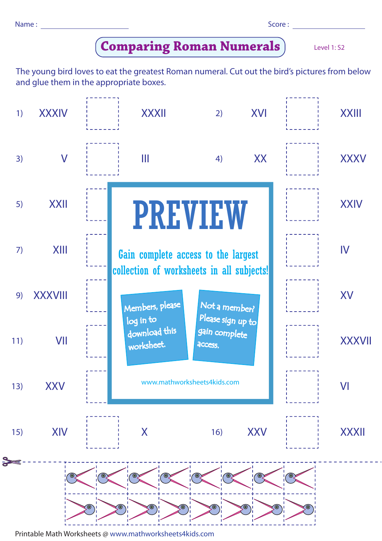Name : Score : Score : Score : Score : Score : Score : Score : Score : Score : Score : Score : Score : Score : Score : Score : Score : Score : Score : Score : Score : Score : Score : Score : Score : Score : Score : Score :

|  | ٠ | ۰. |  |
|--|---|----|--|
|  |   |    |  |

Level 1: S2

## **Comparing Roman Numerals**

The young bird loves to eat the greatest Roman numeral. Cut out the bird's pictures from below and glue them in the appropriate boxes.



Printable Math Worksheets @ www.mathworksheets4kids.com